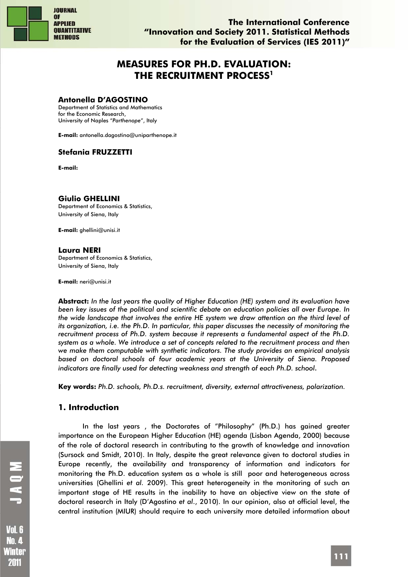

# **MEASURES FOR PH.D. EVALUATION: THE RECRUITMENT PROCESS1**

### **Antonella D'AGOSTINO**

Department of Statistics and Mathematics for the Economic Research, University of Naples "*Parthenope*", Italy

**E-mail:** antonella.dagostino@uniparthenope.it

# **Stefania FRUZZETTI**

**E-mail:**

### **Giulio GHELLINI**

Department of Economics & Statistics, University of Siena, Italy

**E-mail:** ghellini@unisi.it

### **Laura NERI**

Department of Economics & Statistics, University of Siena, Italy

**E-mail:** neri@unisi.it

**Abstract:** *In the last years the quality of Higher Education (HE) system and its evaluation have been key issues of the political and scientific debate on education policies all over Europe. In the wide landscape that involves the entire HE system we draw attention on the third level of its organization, i.e. the Ph.D. In particular, this paper discusses the necessity of monitoring the recruitment process of Ph.D. system because it represents a fundamental aspect of the Ph.D. system as a whole. We introduce a set of concepts related to the recruitment process and then we make them computable with synthetic indicators. The study provides an empirical analysis based on doctoral schools of four academic years at the University of Siena. Proposed indicators are finally used for detecting weakness and strength of each Ph.D. school.*

**Key words:** *Ph.D. schools, Ph.D.s. recruitment, diversity, external attractiveness, polarization.* 

# **1. Introduction**

In the last years , the Doctorates of "Philosophy" (Ph.D.) has gained greater importance on the European Higher Education (HE) agenda (Lisbon Agenda, 2000) because of the role of doctoral research in contributing to the growth of knowledge and innovation (Sursock and Smidt, 2010). In Italy, despite the great relevance given to doctoral studies in Europe recently, the availability and transparency of information and indicators for monitoring the Ph.D. education system as a whole is still poor and heterogeneous across universities (Ghellini *et al.* 2009). This great heterogeneity in the monitoring of such an important stage of HE results in the inability to have an objective view on the state of doctoral research in Italy (D'Agostino *et al*., 2010). In our opinion, also at official level, the central institution (MIUR) should require to each university more detailed information about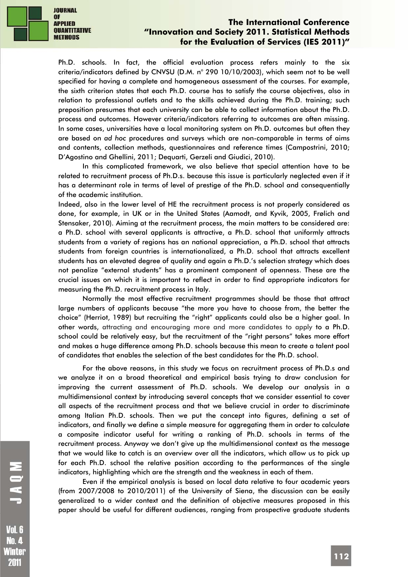

Ph.D. schools. In fact, the official evaluation process refers mainly to the six criteria/indicators defined by CNVSU (D.M. n° 290 10/10/2003), which seem not to be well specified for having a complete and homogeneous assessment of the courses. For example, the sixth criterion states that each Ph.D. course has to satisfy the course objectives, also in relation to professional outlets and to the skills achieved during the Ph.D. training; such preposition presumes that each university can be able to collect information about the Ph.D. process and outcomes. However criteria/indicators referring to outcomes are often missing. In some cases, universities have a local monitoring system on Ph.D. outcomes but often they are based on *ad hoc* procedures and surveys which are non-comparable in terms of aims and contents, collection methods, questionnaires and reference times (Campostrini, 2010; D'Agostino and Ghellini, 2011; Dequarti, Gerzeli and Giudici, 2010).

In this complicated framework, we also believe that special attention have to be related to recruitment process of Ph.D.s. because this issue is particularly neglected even if it has a determinant role in terms of level of prestige of the Ph.D. school and consequentially of the academic institution.

Indeed, also in the lower level of HE the recruitment process is not properly considered as done, for example, in UK or in the United States (Aamodt, and Kyvik, 2005, Frølich and Stensaker, 2010). Aiming at the recruitment process, the main matters to be considered are: a Ph.D. school with several applicants is attractive, a Ph.D. school that uniformly attracts students from a variety of regions has an national appreciation, a Ph.D. school that attracts students from foreign countries is internationalized, a Ph.D. school that attracts excellent students has an elevated degree of quality and again a Ph.D.'s selection strategy which does not penalize "external students" has a prominent component of openness. These are the crucial issues on which it is important to reflect in order to find appropriate indicators for measuring the Ph.D. recruitment process in Italy.

Normally the most effective recruitment programmes should be those that attract large numbers of applicants because "the more you have to choose from, the better the choice" (Herriot, 1989) but recruiting the "right" applicants could also be a higher goal. In other words, attracting and encouraging more and more candidates to apply to a Ph.D. school could be relatively easy, but the recruitment of the "right persons" takes more effort and makes a huge difference among Ph.D. schools because this mean to create a talent pool of candidates that enables the selection of the best candidates for the Ph.D. school.

For the above reasons, in this study we focus on recruitment process of Ph.D.s and we analyze it on a broad theoretical and empirical basis trying to draw conclusion for improving the current assessment of Ph.D. schools. We develop our analysis in a multidimensional context by introducing several concepts that we consider essential to cover all aspects of the recruitment process and that we believe crucial in order to discriminate among Italian Ph.D. schools. Then we put the concept into figures, defining a set of indicators, and finally we define a simple measure for aggregating them in order to calculate a composite indicator useful for writing a ranking of Ph.D. schools in terms of the recruitment process. Anyway we don't give up the multidimensional context as the message that we would like to catch is an overview over all the indicators, which allow us to pick up for each Ph.D. school the relative position according to the performances of the single indicators, highlighting which are the strength and the weakness in each of them.

Even if the empirical analysis is based on local data relative to four academic years (from 2007/2008 to 2010/2011) of the University of Siena, the discussion can be easily generalized to a wider context and the definition of objective measures proposed in this paper should be useful for different audiences, ranging from prospective graduate students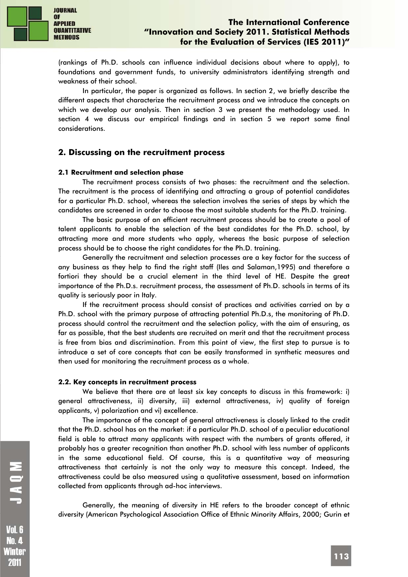

(rankings of Ph.D. schools can influence individual decisions about where to apply), to foundations and government funds, to university administrators identifying strength and weakness of their school.

In particular, the paper is organized as follows. In section 2, we briefly describe the different aspects that characterize the recruitment process and we introduce the concepts on which we develop our analysis. Then in section 3 we present the methodology used. In section 4 we discuss our empirical findings and in section 5 we report some final considerations.

### **2. Discussing on the recruitment process**

#### **2.1 Recruitment and selection phase**

The recruitment process consists of two phases: the recruitment and the selection. The recruitment is the process of identifying and attracting a group of potential candidates for a particular Ph.D. school, whereas the selection involves the series of steps by which the candidates are screened in order to choose the most suitable students for the Ph.D. training.

The basic purpose of an efficient recruitment process should be to create a pool of talent applicants to enable the selection of the best candidates for the Ph.D. school, by attracting more and more students who apply, whereas the basic purpose of selection process should be to choose the right candidates for the Ph.D. training.

Generally the recruitment and selection processes are a key factor for the success of any business as they help to find the right staff (Iles and Salaman,1995) and therefore a fortiori they should be a crucial element in the third level of HE. Despite the great importance of the Ph.D.s. recruitment process, the assessment of Ph.D. schools in terms of its quality is seriously poor in Italy.

If the recruitment process should consist of practices and activities carried on by a Ph.D. school with the primary purpose of attracting potential Ph.D.s, the monitoring of Ph.D. process should control the recruitment and the selection policy, with the aim of ensuring, as far as possible, that the best students are recruited on merit and that the recruitment process is free from bias and discrimination. From this point of view, the first step to pursue is to introduce a set of core concepts that can be easily transformed in synthetic measures and then used for monitoring the recruitment process as a whole.

#### **2.2. Key concepts in recruitment process**

We believe that there are at least six key concepts to discuss in this framework: i) general attractiveness, ii) diversity, iii) external attractiveness, iv) quality of foreign applicants, v) polarization and vi) excellence.

The importance of the concept of general attractiveness is closely linked to the credit that the Ph.D. school has on the market: if a particular Ph.D. school of a peculiar educational field is able to attract many applicants with respect with the numbers of grants offered, it probably has a greater recognition than another Ph.D. school with less number of applicants in the same educational field. Of course, this is a quantitative way of measuring attractiveness that certainly is not the only way to measure this concept. Indeed, the attractiveness could be also measured using a qualitative assessment, based on information collected from applicants through ad-hoc interviews.

Generally, the meaning of diversity in HE refers to the broader concept of ethnic diversity (American Psychological Association Office of Ethnic Minority Affairs, 2000; Gurin et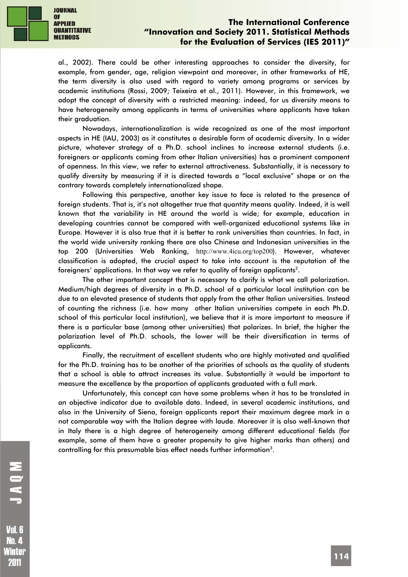

al., 2002). There could be other interesting approaches to consider the diversity, for example, from gender, age, religion viewpoint and moreover, in other frameworks of HE, the term diversity is also used with regard to variety among programs or services by academic institutions (Rossi, 2009; Teixeira et al., 2011). However, in this framework, we adopt the concept of diversity with a restricted meaning: indeed, for us diversity means to have heterogeneity among applicants in terms of universities where applicants have taken their graduation.

Nowadays, internationalization is wide recognized as one of the most important aspects in HE (IAU, 2003) as it constitutes a desirable form of academic diversity. In a wider picture, whatever strategy of a Ph.D. school inclines to increase external students (i.e. foreigners or applicants coming from other Italian universities) has a prominent component of openness. In this view, we refer to external attractiveness. Substantially, it is necessary to qualify diversity by measuring if it is directed towards a "local exclusive" shape or on the contrary towards completely internationalized shape.

Following this perspective, another key issue to face is related to the presence of foreign students. That is, it's not altogether true that quantity means quality. Indeed, it is well known that the variability in HE around the world is wide; for example, education in developing countries cannot be compared with well-organized educational systems like in Europe. However it is also true that it is better to rank universities than countries. In fact, in the world wide university ranking there are also Chinese and Indonesian universities in the top 200 (Universities Web Ranking, http://www.4icu.org/top200). However, whatever classification is adopted, the crucial aspect to take into account is the reputation of the foreigners' applications. In that way we refer to quality of foreign applicants $^2$ .

The other important concept that is necessary to clarify is what we call polarization. Medium/high degrees of diversity in a Ph.D. school of a particular local institution can be due to an elevated presence of students that apply from the other Italian universities. Instead of counting the richness (i.e. how many other Italian universities compete in each Ph.D. school of this particular local institution), we believe that it is more important to measure if there is a particular base (among other universities) that polarizes. In brief, the higher the polarization level of Ph.D. schools, the lower will be their diversification in terms of applicants.

Finally, the recruitment of excellent students who are highly motivated and qualified for the Ph.D. training has to be another of the priorities of schools as the quality of students that a school is able to attract increases its value. Substantially it would be important to measure the excellence by the proportion of applicants graduated with a full mark.

Unfortunately, this concept can have some problems when it has to be translated in an objective indicator due to available data. Indeed, in several academic institutions, and also in the University of Siena, foreign applicants report their maximum degree mark in a not comparable way with the Italian degree with laude. Moreover it is also well-known that in Italy there is a high degree of heterogeneity among different educational fields (for example, some of them have a greater propensity to give higher marks than others) and controlling for this presumable bias effect needs further information $3$ .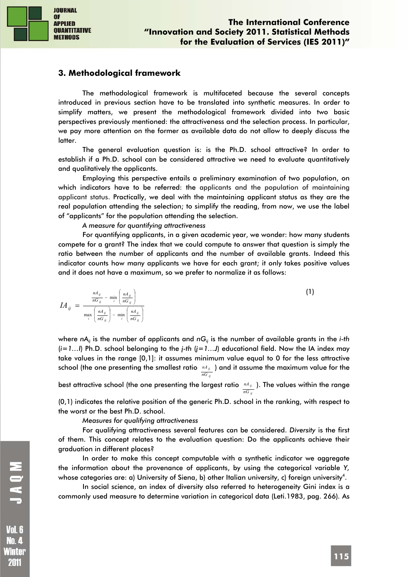

# **3. Methodological framework**

The methodological framework is multifaceted because the several concepts introduced in previous section have to be translated into synthetic measures. In order to simplify matters, we present the methodological framework divided into two basic perspectives previously mentioned: the attractiveness and the selection process. In particular, we pay more attention on the former as available data do not allow to deeply discuss the latter.

The general evaluation question is: is the Ph.D. school attractive? In order to establish if a Ph.D. school can be considered attractive we need to evaluate quantitatively and qualitatively the applicants.

Employing this perspective entails a preliminary examination of two population, on which indicators have to be referred: the applicants and the population of maintaining applicant status. Practically, we deal with the maintaining applicant status as they are the real population attending the selection; to simplify the reading, from now, we use the label of "applicants" for the population attending the selection.

*A measure for quantifying attractiveness* 

For quantifying applicants, in a given academic year, we wonder: how many students compete for a grant? The index that we could compute to answer that question is simply the ratio between the number of applicants and the number of available grants. Indeed this indicator counts how many applicants we have for each grant; it only takes positive values and it does not have a maximum, so we prefer to normalize it as follows:

$$
IA_{ij} = \frac{\frac{nA_{ij}}{nG_{ij}} - \min_{i} \left(\frac{nA_{ij}}{nG_{ij}}\right)}{\max_{i} \left(\frac{nA_{ij}}{nG_{ij}}\right) - \min_{i} \left(\frac{nA_{ij}}{nG_{ij}}\right)}
$$
(1)

where *nA<sub>ij</sub>* is the number of applicants and *nG<sub>ij</sub>* is the number of available grants in the *i-th* (*i=1…I*) Ph.D. school belonging to the *j-th* (*j=1…J*) educational field. Now the IA index may take values in the range [0,1]: it assumes minimum value equal to 0 for the less attractive school (the one presenting the smallest ratio  $\sqrt{A}A_{ij}$  ) and it assume the maximum value for the *ij nG*

best attractive school (the one presenting the largest ratio nd<sub>ij</sub>). The values within the range *ij nG*

(0,1) indicates the relative position of the generic Ph.D. school in the ranking, with respect to the worst or the best Ph.D. school.

#### *Measures for qualifying attractiveness*

For qualifying attractiveness several features can be considered. *Diversity* is the first of them. This concept relates to the evaluation question: Do the applicants achieve their graduation in different places?

In order to make this concept computable with a synthetic indicator we aggregate the information about the provenance of applicants, by using the categorical variable *Y,* whose categories are: a) University of Siena, b) other Italian university, c) foreign university $^4$ .

In social science, an index of diversity also referred to heterogeneity Gini index is a commonly used measure to determine variation in categorical data (Leti.1983, pag. 266)*.* As

No. 4 Winter 2011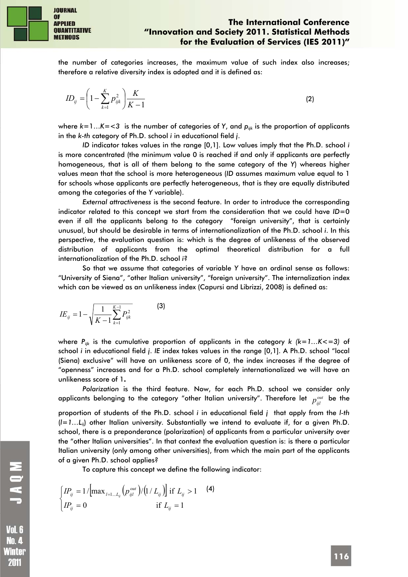

MOND

**Vol. 6** Nn 4 Winter 2011

the number of categories increases, the maximum value of such index also increases; therefore a relative diversity index is adopted and it is defined as:

$$
ID_{ij} = \left(1 - \sum_{k=1}^{K} p_{ijk}^{2}\right) \frac{K}{K - 1}
$$
 (2)

where  $k=1...K=<3$  is the number of categories of Y, and  $p_{ijk}$  is the proportion of applicants in the *k-th* category of Ph.D. school *i* in educational field *j*.

*ID* indicator takes values in the range [0,1]. Low values imply that the Ph.D. school *i*  is more concentrated (the minimum value 0 is reached if and only if applicants are perfectly homogeneous, that is all of them belong to the same category of the *Y*) whereas higher values mean that the school is more heterogeneous (*ID* assumes maximum value equal to 1 for schools whose applicants are perfectly heterogeneous, that is they are equally distributed among the categories of the *Y* variable).

*External attractiveness* is the second feature. In order to introduce the corresponding indicator related to this concept we start from the consideration that we could have *ID*=0 even if all the applicants belong to the category "foreign university", that is certainly unusual, but should be desirable in terms of internationalization of the Ph.D. school *i*. In this perspective, the evaluation question is: which is the degree of unlikeness of the observed distribution of applicants from the optimal theoretical distribution for a full internationalization of the Ph.D. school *i*?

So that we assume that categories of variable *Y* have an ordinal sense as follows: "University of Siena", "other Italian university", "foreign university". The internalization index which can be viewed as an unlikeness index (Capursi and Librizzi, 2008) is defined as:

$$
IE_{ij} = 1 - \sqrt{\frac{1}{K - 1} \sum_{k=1}^{K-1} P_{ijk}^2}
$$
 (3)

where *Pijk* is the cumulative proportion of applicants in the category *k (k=1…K<=3)* of school *i* in educational field *j*. *IE* index takes values in the range [0,1]. A Ph.D. school "local (Siena) exclusive" will have an unlikeness score of 0, the index increases if the degree of "openness" increases and for a Ph.D. school completely internationalized we will have an unlikeness score of 1**.** 

*Polarization* is the third feature. Now, for each Ph.D. school we consider only applicants belonging to the category "other Italian university". Therefore let  $p^{out}_{\,\,jj}$  be the

proportion of students of the Ph.D. school *i* in educational field *j* that apply from the *l-th* (*l=1…Lij*) other Italian university. Substantially we intend to evaluate if, for a given Ph.D. school, there is a preponderance (polarization) of applicants from a particular university over the "other Italian universities". In that context the evaluation question is: is there a particular Italian university (only among other universities), from which the main part of the applicants of a given Ph.D. school applies?

To capture this concept we define the following indicator:

$$
\begin{cases}\nIP_{ij} = 1 / [\max_{l=1...L_{ij}} (p_{ijl}^{out}) / (1 / L_{ij})] \text{ if } L_{ij} > 1\n\end{cases}
$$
\n(4)\n  
\n
$$
IP_{ij} = 0 \qquad \text{if } L_{ij} = 1
$$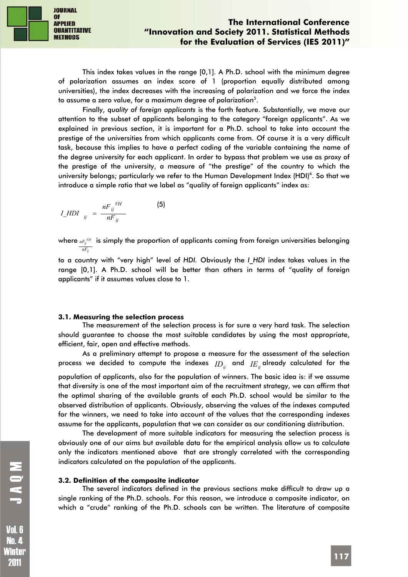

This index takes values in the range [0,1]. A Ph.D. school with the minimum degree of polarization assumes an index score of 1 (proportion equally distributed among universities), the index decreases with the increasing of polarization and we force the index to assume a zero value, for a maximum degree of polarization $^5\!$  .

Finally, *quality of foreign applicants* is the forth feature. Substantially, we move our attention to the subset of applicants belonging to the category "foreign applicants". As we explained in previous section, it is important for a Ph.D. school to take into account the prestige of the universities from which applicants come from. Of course it is a very difficult task, because this implies to have a perfect coding of the variable containing the name of the degree university for each applicant. In order to bypass that problem we use as proxy of the prestige of the university, a measure of "the prestige" of the country to which the university belongs; particularly we refer to the Human Development Index (HDI)<sup>6</sup>. So that we introduce a simple ratio that we label as "quality of foreign applicants" index as:

$$
I_HDI_{ij} = \frac{nF_{ij}^{VH}}{nF_{ij}}
$$
 (5)

where  ${}_{nF_{ij}}$ ri is simply the proportion of applicants coming from foreign universities belonging  $nF_{ij}$ 

to a country with "very high" level of *HDI.* Obviously the *I\_HDI* index takes values in the range [0,1]. A Ph.D. school will be better than others in terms of "quality of foreign applicants" if it assumes values close to 1.

#### **3.1. Measuring the selection process**

The measurement of the selection process is for sure a very hard task. The selection should guarantee to choose the most suitable candidates by using the most appropriate, efficient, fair, open and effective methods.

As a preliminary attempt to propose a measure for the assessment of the selection process we decided to compute the indexes  $\mathop{ID_{ij}}$  and  $\mathop{IE_{ij}}$ already calculated for the population of applicants, also for the population of winners. The basic idea is: if we assume that diversity is one of the most important aim of the recruitment strategy, we can affirm that the optimal sharing of the available grants of each Ph.D. school would be similar to the observed distribution of applicants. Obviously, observing the values of the indexes computed for the winners, we need to take into account of the values that the corresponding indexes assume for the applicants, population that we can consider as our conditioning distribution.

The development of more suitable indicators for measuring the selection process is obviously one of our aims but available data for the empirical analysis allow us to calculate only the indicators mentioned above that are strongly correlated with the corresponding indicators calculated on the population of the applicants.

#### **3.2. Definition of the composite indicator**

The several indicators defined in the previous sections make difficult to draw up a single ranking of the Ph.D. schools. For this reason, we introduce a composite indicator, on which a "crude" ranking of the Ph.D. schools can be written. The literature of composite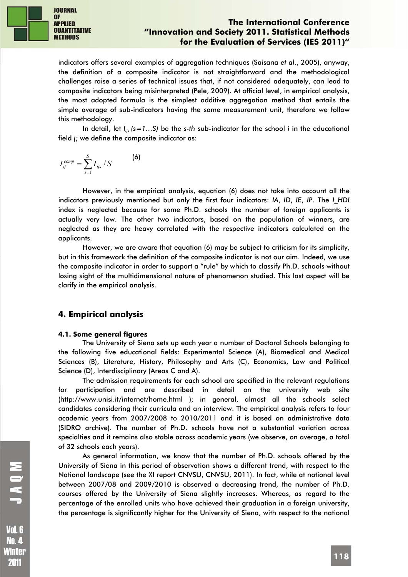

indicators offers several examples of aggregation techniques (Saisana *et al*., 2005), anyway, the definition of a composite indicator is not straightforward and the methodological challenges raise a series of technical issues that, if not considered adequately, can lead to composite indicators being misinterpreted (Pele, 2009). At official level, in empirical analysis, the most adopted formula is the simplest additive aggregation method that entails the simple average of sub-indicators having the same measurement unit, therefore we follow this methodology.

In detail, let *Iijs (s=1…S)* be the *s-th* sub-indicator for the school *i* in the educational field *j*; we define the composite indicator as:

$$
I_{ij}^{comp} = \sum_{s=1}^{S} I_{ijs} / S
$$
 (6)

However, in the empirical analysis, equation (6) does not take into account all the indicators previously mentioned but only the first four indicators: *IA*, *ID*, *IE*, *IP*. The *I\_HDI* index is neglected because for some Ph.D. schools the number of foreign applicants is actually very low. The other two indicators, based on the population of winners, are neglected as they are heavy correlated with the respective indicators calculated on the applicants.

However, we are aware that equation (6) may be subject to criticism for its simplicity, but in this framework the definition of the composite indicator is not our aim. Indeed, we use the composite indicator in order to support a "rule" by which to classify Ph.D. schools without losing sight of the multidimensional nature of phenomenon studied. This last aspect will be clarify in the empirical analysis.

# **4. Empirical analysis**

### **4.1. Some general figures**

The University of Siena sets up each year a number of Doctoral Schools belonging to the following five educational fields: Experimental Science (A), Biomedical and Medical Sciences (B), Literature, History, Philosophy and Arts (C), Economics, Law and Political Science (D), Interdisciplinary (Areas C and A).

The admission requirements for each school are specified in the relevant regulations for participation and are described in detail on the university web site (http://www.unisi.it/internet/home.html ); in general, almost all the schools select candidates considering their curricula and an interview. The empirical analysis refers to four academic years from 2007/2008 to 2010/2011 and it is based on administrative data (SIDRO archive). The number of Ph.D. schools have not a substantial variation across specialties and it remains also stable across academic years (we observe, on average, a total of 32 schools each years).

As general information, we know that the number of Ph.D. schools offered by the University of Siena in this period of observation shows a different trend, with respect to the National landscape (see the XI report CNVSU, CNVSU, 2011). In fact, while at national level between 2007/08 and 2009/2010 is observed a decreasing trend, the number of Ph.D. courses offered by the University of Siena slightly increases. Whereas, as regard to the percentage of the enrolled units who have achieved their graduation in a foreign university, the percentage is significantly higher for the University of Siena, with respect to the national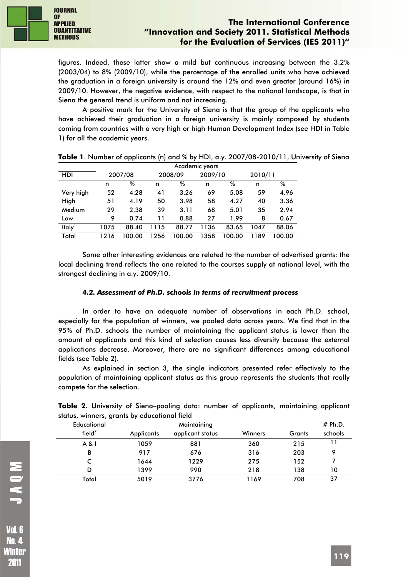

figures. Indeed, these latter show a mild but continuous increasing between the 3.2% (2003/04) to 8% (2009/10), while the percentage of the enrolled units who have achieved the graduation in a foreign university is around the 12% and even greater (around 16%) in 2009/10. However, the negative evidence, with respect to the national landscape, is that in Siena the general trend is uniform and not increasing.

A positive mark for the University of Siena is that the group of the applicants who have achieved their graduation in a foreign university is mainly composed by students coming from countries with a very high or high Human Development Index (see HDI in Table 1) for all the academic years.

|           | Academic years |         |      |         |      |         |         |        |  |
|-----------|----------------|---------|------|---------|------|---------|---------|--------|--|
| HDI       |                | 2007/08 |      | 2008/09 |      | 2009/10 | 2010/11 |        |  |
|           | n              | %       | n    | %       | n    | %       | n       | %      |  |
| Very high | 52             | 4.28    | 41   | 3.26    | 69   | 5.08    | 59      | 4.96   |  |
| High      | 51             | 4.19    | 50   | 3.98    | 58   | 4.27    | 40      | 3.36   |  |
| Medium    | 29             | 2.38    | 39   | 3.11    | 68   | 5.01    | 35      | 2.94   |  |
| Low       | 9              | 0.74    | 11   | 0.88    | 27   | 1.99    | 8       | 0.67   |  |
| Italy     | 1075           | 88.40   | 1115 | 88.77   | 1136 | 83.65   | 1047    | 88.06  |  |
| Total     | 1216           | 100.00  | 1256 | 100.00  | 1358 | 100.00  | 1189    | 100.00 |  |

| Table 1. Number of applicants (n) and % by HDI, a.y. 2007/08-2010/11, University of Siena |  |
|-------------------------------------------------------------------------------------------|--|
|-------------------------------------------------------------------------------------------|--|

Some other interesting evidences are related to the number of advertised grants: the local declining trend reflects the one related to the courses supply at national level, with the strongest declining in a.y. 2009/10.

### *4.2. Assessment of Ph.D. schools in terms of recruitment process*

In order to have an adequate number of observations in each Ph.D. school, especially for the population of winners, we pooled data across years. We find that in the 95% of Ph.D. schools the number of maintaining the applicant status is lower than the amount of applicants and this kind of selection causes less diversity because the external applications decrease. Moreover, there are no significant differences among educational fields (see Table 2).

As explained in section 3, the single indicators presented refer effectively to the population of maintaining applicant status as this group represents the students that really compete for the selection.

|  |  | Table 2. University of Siena-pooling data: number of applicants, maintaining applicant |  |  |  |
|--|--|----------------------------------------------------------------------------------------|--|--|--|
|  |  | status, winners, grants by educational field                                           |  |  |  |

| Educational        |            | Maintaining      |         |        | # Ph.D. |
|--------------------|------------|------------------|---------|--------|---------|
| field <sup>7</sup> | Applicants | applicant status | Winners | Grants | schools |
| A & I              | 1059       | 881              | 360     | 215    | 11      |
| B                  | 917        | 676              | 316     | 203    | 9       |
|                    | 1644       | 1229             | 275     | 152    |         |
| D                  | 1399       | 990              | 218     | 138    | 10      |
| Total              | 5019       | 3776             | 1169    | 708    | 37      |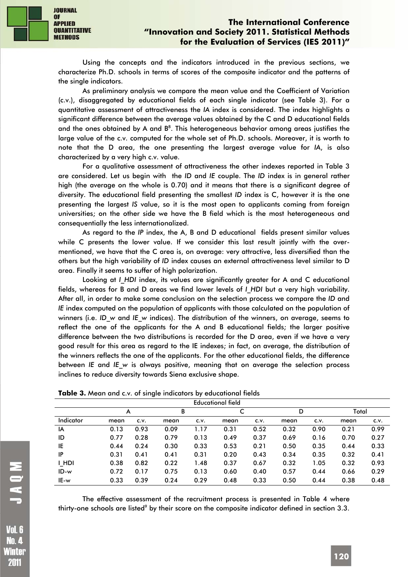Using the concepts and the indicators introduced in the previous sections, we characterize Ph.D. schools in terms of scores of the composite indicator and the patterns of the single indicators.

As preliminary analysis we compare the mean value and the Coefficient of Variation (c.v.), disaggregated by educational fields of each single indicator (see Table 3). For a quantitative assessment of attractiveness the *IA* index is considered. The index highlights a significant difference between the average values obtained by the C and D educational fields and the ones obtained by A and  $B^8$ . This heterogeneous behavior among areas justifies the large value of the c.v. computed for the whole set of Ph.D. schools. Moreover, it is worth to note that the D area, the one presenting the largest average value for *IA*, is also characterized by a very high c.v. value.

For a qualitative assessment of attractiveness the other indexes reported in Table 3 are considered. Let us begin with the *ID* and *IE* couple. The *ID* index is in general rather high (the average on the whole is 0.70) and it means that there is a significant degree of diversity. The educational field presenting the smallest *ID* index is C, however it is the one presenting the largest *IS* value, so it is the most open to applicants coming from foreign universities; on the other side we have the B field which is the most heterogeneous and consequentially the less internationalized.

As regard to the *IP* index, the A, B and D educational fields present similar values while C presents the lower value. If we consider this last result jointly with the overmentioned, we have that the C area is, on average: very attractive, less diversified than the others but the high variability of *ID* index causes an external attractiveness level similar to D area. Finally it seems to suffer of high polarization.

Looking at *I HDI* index, its values are significantly greater for A and C educational fields, whereas for B and D areas we find lower levels of *I\_HDI* but a very high variability. After all, in order to make some conclusion on the selection process we compare the *ID* and *IE* index computed on the population of applicants with those calculated on the population of winners (i.e. *ID\_w* and *IE\_w* indices). The distribution of the winners, on average, seems to reflect the one of the applicants for the A and B educational fields; the larger positive difference between the two distributions is recorded for the D area, even if we have a very good result for this area as regard to the IE indexes; in fact, on average, the distribution of the winners reflects the one of the applicants. For the other educational fields, the difference between *IE* and *IE\_w* is always positive, meaning that on average the selection process inclines to reduce diversity towards Siena exclusive shape.

| <b>Educational field</b> |      |      |      |      |      |      |      |      |       |      |
|--------------------------|------|------|------|------|------|------|------|------|-------|------|
|                          | A    |      | B    |      | c    |      | D    |      | Total |      |
| Indicator                | mean | C.V. | mean | C.V. | mean | C.V. | mean | C.V. | mean  | C.V. |
| IA                       | 0.13 | 0.93 | 0.09 | 1.17 | 0.31 | 0.52 | 0.32 | 0.90 | 0.21  | 0.99 |
| ID                       | 0.77 | 0.28 | 0.79 | 0.13 | 0.49 | 0.37 | 0.69 | 0.16 | 0.70  | 0.27 |
| IE                       | 0.44 | 0.24 | 0.30 | 0.33 | 0.53 | 0.21 | 0.50 | 0.35 | 0.44  | 0.33 |
| IP                       | 0.31 | 0.41 | 0.41 | 0.31 | 0.20 | 0.43 | 0.34 | 0.35 | 0.32  | 0.41 |
| I HDI                    | 0.38 | 0.82 | 0.22 | 1.48 | 0.37 | 0.67 | 0.32 | 1.05 | 0.32  | 0.93 |
| $ID-w$                   | 0.72 | 0.17 | 0.75 | 0.13 | 0.60 | 0.40 | 0.57 | 0.44 | 0.66  | 0.29 |
| IE-w                     | 0.33 | 0.39 | 0.24 | 0.29 | 0.48 | 0.33 | 0.50 | 0.44 | 0.38  | 0.48 |

| Table 3. Mean and c.v. of single indicators by educational fields |  |  |
|-------------------------------------------------------------------|--|--|
|-------------------------------------------------------------------|--|--|

The effective assessment of the recruitment process is presented in Table 4 where thirty-one schools are listed<sup>9</sup> by their score on the composite indicator defined in section 3.3.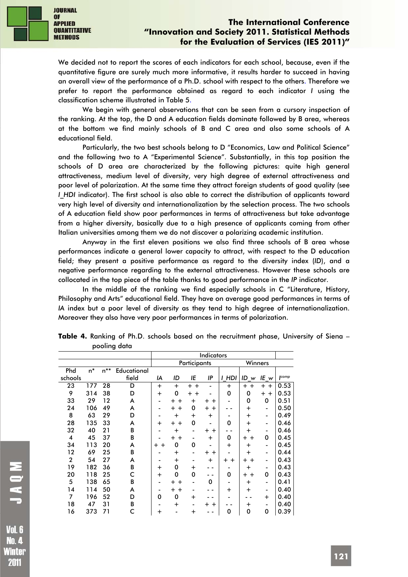

We decided not to report the scores of each indicators for each school, because, even if the quantitative figure are surely much more informative, it results harder to succeed in having an overall view of the performance of a Ph.D. school with respect to the others. Therefore we prefer to report the performance obtained as regard to each indicator *I* using the classification scheme illustrated in Table 5.

We begin with general observations that can be seen from a cursory inspection of the ranking. At the top, the D and A education fields dominate followed by B area, whereas at the bottom we find mainly schools of B and C area and also some schools of A educational field.

Particularly, the two best schools belong to D "Economics, Law and Political Science" and the following two to A "Experimental Science". Substantially, in this top position the schools of D area are characterized by the following pictures: quite high general attractiveness, medium level of diversity, very high degree of external attractiveness and poor level of polarization. At the same time they attract foreign students of good quality (see *I\_HDI* indicator). The first school is also able to correct the distribution of applicants toward very high level of diversity and internationalization by the selection process. The two schools of A education field show poor performances in terms of attractiveness but take advantage from a higher diversity, basically due to a high presence of applicants coming from other Italian universities among them we do not discover a polarizing academic institution.

Anyway in the first eleven positions we also find three schools of B area whose performances indicate a general lower capacity to attract, with respect to the D education field; they present a positive performance as regard to the diversity index (*ID*), and a negative performance regarding to the external attractiveness. However these schools are collocated in the top piece of the table thanks to good performance in the *IP* indicator.

In the middle of the ranking we find especially schools in C "Literature, History, Philosophy and Arts" educational field. They have on average good performances in terms of *IA* index but a poor level of diversity as they tend to high degree of internationalization. Moreover they also have very poor performances in terms of polarization.

|                         |     |                   |             |                         |                        |                    | <b>Indicators</b> |                          |                    |                          |               |
|-------------------------|-----|-------------------|-------------|-------------------------|------------------------|--------------------|-------------------|--------------------------|--------------------|--------------------------|---------------|
|                         |     |                   |             | Participants<br>Winners |                        |                    |                   |                          |                    |                          |               |
| Phd                     | n*  | $\mathsf{n}^{**}$ | Educational |                         |                        |                    |                   |                          |                    |                          |               |
| schools                 |     |                   | field       | IA                      | ID                     | ΙE                 | IP                | HDI<br>I                 | ID<br>w            | IE $w$                   | <b>I</b> comp |
| 23                      | 177 | 28                | D           | $\ddot{}$               | $+$                    | $+ +$              |                   | $+$                      | $+ +$              | $+$<br>$+$               | 0.53          |
| 9                       | 314 | 38                | D           | $\ddot{}$               | 0                      | $\pm$<br>$\ddot{}$ |                   | 0                        | 0                  | $\pm$<br>$+$             | 0.53          |
| 33                      | 29  | 12                | A           |                         | $\div$<br>$\div$       | $\ddot{}$          | $\div$<br>$\div$  |                          | $\Omega$           | 0                        | 0.51          |
| 24                      | 106 | 49                | A           | -                       | $\ddot{}$<br>$\ddot{}$ | 0                  | $+$<br>$\ddot{}$  |                          | $\pm$              | -                        | 0.50          |
| 8                       | 63  | 29                | D           |                         | $+$                    | $\ddot{}$          | $\ddot{}$         | ۰                        | $\pm$              | ٠                        | 0.49          |
| 28                      | 135 | 33                | A           | $\div$                  | $+$<br>$\ddot{}$       | 0                  |                   | 0                        | $\pm$              | ٠                        | 0.46          |
| 32                      | 40  | 21                | B           |                         | $\ddag$                | ۰                  | $\pm$<br>$\pm$    |                          | $\pm$              | -                        | 0.46          |
| $\overline{\mathbf{4}}$ | 45  | 37                | B           |                         | $+$<br>$\pm$           | -                  | $+$               | 0                        | $\div$<br>$+$      | 0                        | 0.45          |
| 34                      | 113 | 20                | A           | $+$<br>$\div$           | 0                      | 0                  |                   | $\ddot{}$                | $\pm$              | -                        | 0.45          |
| 12                      | 69  | 25                | B           |                         | $\ddot{}$              | ۰                  | ┿<br>$\ddot{}$    | $\blacksquare$           | $\pm$              | ٠                        | 0.44          |
| $\boldsymbol{2}$        | 54  | 27                | A           |                         | $+$                    |                    | $\ddot{}$         | $\div$<br>$\div$         | $\ddot{}$<br>$\pm$ | $\overline{\phantom{a}}$ | 0.43          |
| 19                      | 182 | 36                | B           | $\div$                  | 0                      | $\div$             |                   |                          | $\pm$              | ٠                        | 0.43          |
| 20                      | 118 | 25                | c           | $+$                     | 0                      | 0                  |                   | 0                        | $\div$<br>$\div$   | 0                        | 0.43          |
| 5                       | 138 | 65                | B           |                         | $\ddot{}$<br>$\pm$     | ۰                  | 0                 | $\overline{\phantom{0}}$ | $\pm$              | ٠                        | 0.41          |
| 14                      | 114 | 50                | A           |                         | $+ +$                  |                    |                   | $\ddot{}$                | $\pm$              | ٠                        | 0.40          |
| 7                       | 196 | 52                | D           | 0                       | 0                      | $+$                |                   |                          |                    | $\ddot{}$                | 0.40          |
| 18                      | 47  | 31                | B           |                         | $\ddot{}$              |                    | $\div$<br>┿       |                          | $\pm$              | ٠                        | 0.40          |
| 16                      | 373 | 71                | C           | $\ddot{}$               |                        | $\ddot{}$          |                   | 0                        | 0                  | 0                        | 0.39          |

**Table 4.** Ranking of Ph.D. schools based on the recruitment phase, University of Siena – pooling data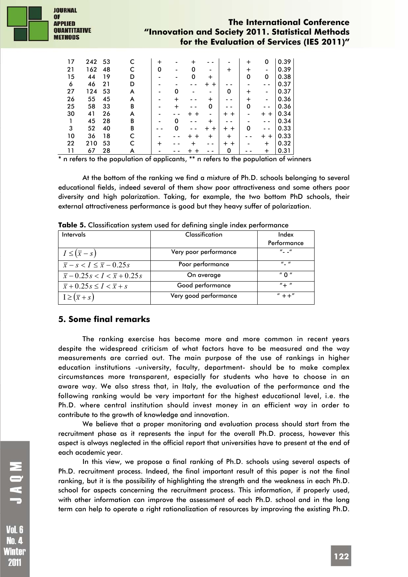

| 17 | 242 | 53 |   | $\div$ |   |   |           |                    | $\div$ | 0                | 0.39 |
|----|-----|----|---|--------|---|---|-----------|--------------------|--------|------------------|------|
| 21 | 162 | 48 |   | 0      |   | 0 |           | $\pm$              | ┿      |                  | 0.39 |
| 15 | 44  | 19 | D |        |   | 0 | ┿         |                    | 0      | 0                | 0.38 |
| 6  | 46  | 21 | D |        |   |   | $\div$    |                    |        |                  | 0.37 |
| 27 | 124 | 53 | A |        | 0 |   |           | 0                  | $\pm$  | -                | 0.37 |
| 26 | 55  | 45 | A |        | ┿ |   | $\,{}^+$  |                    | $\pm$  |                  | 0.36 |
| 25 | 58  | 33 | B |        | ┿ |   | 0         |                    | 0      |                  | 0.36 |
| 30 | 41  | 26 | A |        |   | ┿ |           | $\ddot{}$<br>$\pm$ |        | $\ddot{}$<br>$+$ | 0.34 |
|    | 45  | 28 | B |        | 0 |   | ┿         |                    |        |                  | 0.34 |
| 3  | 52  | 40 | B |        |   |   | $\pm$     | $\div$<br>$+$      | 0      |                  | 0.33 |
| 10 | 36  | 18 | C |        |   |   | $\ddot{}$ | $\pm$              |        | $\div$           | 0.33 |
| 22 | 210 | 53 |   |        |   |   |           | $+$<br>$\pm$       |        | $\div$           | 0.32 |
|    | 67  | 28 |   |        |   |   |           | 0                  |        | ┿                | 0.31 |

\* n refers to the population of applicants, \*\* n refers to the population of winners

At the bottom of the ranking we find a mixture of Ph.D. schools belonging to several educational fields, indeed several of them show poor attractiveness and some others poor diversity and high polarization. Taking, for example, the two bottom PhD schools, their external attractiveness performance is good but they heavy suffer of polarization.

| Intervals                                             | Classification        | Index                                      |
|-------------------------------------------------------|-----------------------|--------------------------------------------|
|                                                       |                       | Performance                                |
| $I \leq (\bar{x} - s)$                                | Very poor performance | $^{\prime\prime}$ $\sim$ $^{\prime\prime}$ |
| $\overline{x}$ – s < I $\leq \overline{x}$ – 0.25s    | Poor performance      | $\boldsymbol{u}$ $\boldsymbol{u}$          |
| $\bar{x}$ – 0.25 s < I < $\bar{x}$ + 0.25 s           | On average            | " በ "                                      |
| $\overline{x}$ + 0.25 s $\leq I$ < $\overline{x}$ + s | Good performance      | $'' +$ "                                   |
| $I \geq (\bar{x} + s)$                                | Very good performance | $'' + +''$                                 |

**Table 5.** Classification system used for defining single index performance

### **5. Some final remarks**

The ranking exercise has become more and more common in recent years despite the widespread criticism of what factors have to be measured and the way measurements are carried out. The main purpose of the use of rankings in higher education institutions -university, faculty, department- should be to make complex circumstances more transparent, especially for students who have to choose in an aware way. We also stress that, in Italy, the evaluation of the performance and the following ranking would be very important for the highest educational level, i.e. the Ph.D. where central institution should invest money in an efficient way in order to contribute to the growth of knowledge and innovation.

We believe that a proper monitoring and evaluation process should start from the recruitment phase as it represents the input for the overall Ph.D. process, however this aspect is always neglected in the official report that universities have to present at the end of each academic year.

In this view, we propose a final ranking of Ph.D. schools using several aspects of Ph.D. recruitment process. Indeed, the final important result of this paper is not the final ranking, but it is the possibility of highlighting the strength and the weakness in each Ph.D. school for aspects concerning the recruitment process. This information, if properly used, with other information can improve the assessment of each Ph.D. school and in the long term can help to operate a right rationalization of resources by improving the existing Ph.D.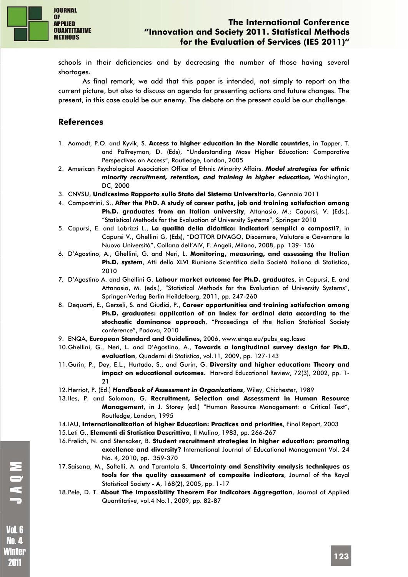

schools in their deficiencies and by decreasing the number of those having several shortages.

As final remark, we add that this paper is intended, not simply to report on the current picture, but also to discuss an agenda for presenting actions and future changes. The present, in this case could be our enemy. The debate on the present could be our challenge.

# **References**

- 1. Aamodt, P.O. and Kyvik, S. **Access to higher education in the Nordic countries**, in Tapper, T. and Palfreyman, D. (Eds), "Understanding Mass Higher Education: Comparative Perspectives on Access", Routledge, London, 2005
- 2. American Psychological Association Office of Ethnic Minority Affairs. *Model strategies for ethnic minority recruitment, retention, and training in higher education,* Washington, DC, 2000
- 3. CNVSU, **Undicesimo Rapporto sullo Stato del Sistema Universitario**, Gennaio 2011
- 4. Campostrini, S., **After the PhD. A study of career paths, job and training satisfaction among Ph.D. graduates from an Italian university**, Attanasio, M.; Capursi, V. (Eds.). "Statistical Methods for the Evaluation of University Systems", Springer 2010
- 5. Capursi, E. and Labrizzi L., **La qualità della didattica: indicatori semplici o composti?**, in Capursi V., Ghellini G. (Eds), "DOTTOR DIVAGO, Discernere, Valutare e Governare la Nuova Università", Collana dell'AIV, F. Angeli, Milano, 2008, pp. 139- 156
- *6.* D'Agostino, A., Ghellini, G. and Neri, L. **Monitoring, measuring, and assessing the Italian Ph.D. system**, Atti della XLVI Riunione Scientifica della Società Italiana di Statistica, 2010
- *7.* D'Agostino A. and Ghellini G. **Labour market outcome for Ph.D. graduates**, in Capursi, E. and Attanasio, M. (eds.), "Statistical Methods for the Evaluation of University Systems", Springer-Verlag Berlin Heildelberg, 2011, pp. 247-260
- 8. Dequarti, E., Gerzeli, S. and Giudici, P., **Career opportunities and training satisfaction among Ph.D. graduates: application of an index for ordinal data according to the stochastic dominance approach**, "Proceedings of the Italian Statistical Society conference", Padova, 2010
- 9. ENQA, **European Standard and Guidelines,** 2006, www.enqa.eu/pubs\_esg.lasso
- 10.Ghellini, G., Neri, L. and D'Agostino, A., **Towards a longitudinal survey design for Ph.D. evaluation**, Quaderni di Statistica, vol.11, 2009, pp. 127-143
- 11.Gurin, P., Dey, E.L., Hurtado, S., and Gurin, G. **Diversity and higher education: Theory and impact on educational outcomes**. Harvard Educational Review, 72(3), 2002, pp. 1- 21
- 12.Herriot, P. (Ed.) *Handbook of Assessment in Organizations*, Wiley, Chichester, 1989
- 13.Iles, P. and Salaman, G. **Recruitment, Selection and Assessment in Human Resource Management**, in J. Storey (ed.) "Human Resource Management: a Critical Text", Routledge, London, 1995
- 14.IAU, **Internationalization of higher Education: Practices and priorities**, Final Report, 2003
- 15.Leti G., **Elementi di Statistica Descrittiva**, Il Mulino, 1983, pp. 266-267
- 16.Frølich, N. and Stensaker, B. **Student recruitment strategies in higher education: promoting excellence and diversity?** International Journal of Educational Management Vol. 24 No. 4, 2010, pp. 359-370
- 17.Saisana, M., Saltelli, A. and Tarantola S. **Uncertainty and Sensitivity analysis techniques as tools for the quality assessment of composite indicators**, Journal of the Royal Statistical Society - A, 168(2), 2005, pp. 1-17
- 18.Pele, D. T. **About The Impossibility Theorem For Indicators Aggregation**, Journal of Applied Quantitative, vol.4 No.1, 2009, pp. 82-87

MOVL